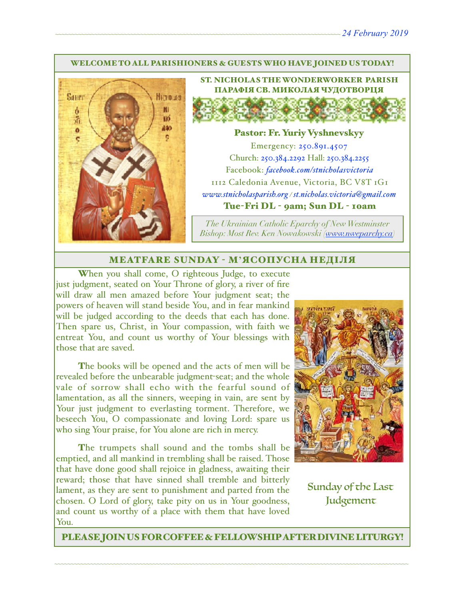### WELCOME TO ALL PARISHIONERS & GUESTS WHO HAVE JOINED US TODAY!



ST. NICHOLAS THE WONDERWORKER PARISH ПАРАФІЯ СВ. МИКОЛАЯ ЧУДОТВОРЦЯ

### Pastor: Fr. Yuriy Vyshnevskyy

Emergency: 250.891.4507 Church: 250.384.2292 Hall: 250.384.2255 Facebook: *[facebook.com/stnicholasvictoria](http://facebook.com/stnicholasvictoria)* 1112 Caledonia Avenue, Victoria, BC V8T 1G1 *[www.stnicholasparish.org](http://www.stnicholasparish.org) / [st.nicholas.victoria@gmail.com](mailto:st.nicholas.victoria@gmail.com)* Tue-Fri DL - 9am; Sun DL - 10am

*The Ukrainian Catholic Eparchy of New Westminster Bishop: Most Rev. Ken Nowakowski ([www.nweparchy.ca](http://www.nweparchy.ca))*

### MEATFARE SUNDAY - М**'**ЯСОПУСНА НЕДІЛЯ

When you shall come, O righteous Judge, to execute just judgment, seated on Your Throne of glory, a river of fire will draw all men amazed before Your judgment seat; the powers of heaven will stand beside You, and in fear mankind will be judged according to the deeds that each has done. Then spare us, Christ, in Your compassion, with faith we entreat You, and count us worthy of Your blessings with those that are saved.

The books will be opened and the acts of men will be revealed before the unbearable judgment-seat; and the whole vale of sorrow shall echo with the fearful sound of lamentation, as all the sinners, weeping in vain, are sent by Your just judgment to everlasting torment. Therefore, we beseech You, O compassionate and loving Lord: spare us who sing Your praise, for You alone are rich in mercy.

The trumpets shall sound and the tombs shall be emptied, and all mankind in trembling shall be raised. Those that have done good shall rejoice in gladness, awaiting their reward; those that have sinned shall tremble and bitterly lament, as they are sent to punishment and parted from the chosen. O Lord of glory, take pity on us in Your goodness, and count us worthy of a place with them that have loved You.



Sunday of the Last Judgement

PLEASE JOIN US FOR COFFEE & FELLOWSHIP AFTER DIVINE LITURGY!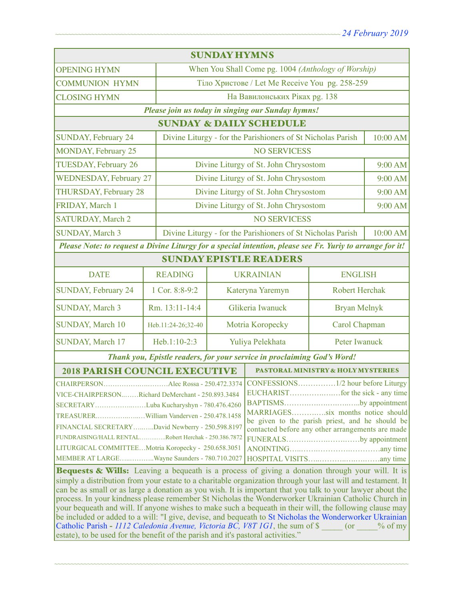| <b>SUNDAY HYMNS</b>                                                                                                                                                                                                                                                                                                                                                                                                                                                                                                                                                                                                                                                                                                                                                                                                                                    |                                                                         |                                                                         |                                                   |                       |          |  |  |
|--------------------------------------------------------------------------------------------------------------------------------------------------------------------------------------------------------------------------------------------------------------------------------------------------------------------------------------------------------------------------------------------------------------------------------------------------------------------------------------------------------------------------------------------------------------------------------------------------------------------------------------------------------------------------------------------------------------------------------------------------------------------------------------------------------------------------------------------------------|-------------------------------------------------------------------------|-------------------------------------------------------------------------|---------------------------------------------------|-----------------------|----------|--|--|
| <b>OPENING HYMN</b>                                                                                                                                                                                                                                                                                                                                                                                                                                                                                                                                                                                                                                                                                                                                                                                                                                    |                                                                         | When You Shall Come pg. 1004 (Anthology of Worship)                     |                                                   |                       |          |  |  |
| <b>COMMUNION HYMN</b>                                                                                                                                                                                                                                                                                                                                                                                                                                                                                                                                                                                                                                                                                                                                                                                                                                  |                                                                         | Тіло Христове / Let Me Receive You pg. 258-259                          |                                                   |                       |          |  |  |
| <b>CLOSING HYMN</b>                                                                                                                                                                                                                                                                                                                                                                                                                                                                                                                                                                                                                                                                                                                                                                                                                                    |                                                                         | На Вавилонських Ріках рд. 138                                           |                                                   |                       |          |  |  |
|                                                                                                                                                                                                                                                                                                                                                                                                                                                                                                                                                                                                                                                                                                                                                                                                                                                        |                                                                         |                                                                         | Please join us today in singing our Sunday hymns! |                       |          |  |  |
| <b>SUNDAY &amp; DAILY SCHEDULE</b>                                                                                                                                                                                                                                                                                                                                                                                                                                                                                                                                                                                                                                                                                                                                                                                                                     |                                                                         |                                                                         |                                                   |                       |          |  |  |
| <b>SUNDAY, February 24</b>                                                                                                                                                                                                                                                                                                                                                                                                                                                                                                                                                                                                                                                                                                                                                                                                                             |                                                                         | Divine Liturgy - for the Parishioners of St Nicholas Parish             |                                                   |                       | 10:00 AM |  |  |
| <b>MONDAY, February 25</b>                                                                                                                                                                                                                                                                                                                                                                                                                                                                                                                                                                                                                                                                                                                                                                                                                             |                                                                         | <b>NO SERVICESS</b>                                                     |                                                   |                       |          |  |  |
| TUESDAY, February 26                                                                                                                                                                                                                                                                                                                                                                                                                                                                                                                                                                                                                                                                                                                                                                                                                                   |                                                                         | Divine Liturgy of St. John Chrysostom                                   |                                                   | 9:00 AM               |          |  |  |
| <b>WEDNESDAY, February 27</b>                                                                                                                                                                                                                                                                                                                                                                                                                                                                                                                                                                                                                                                                                                                                                                                                                          |                                                                         | Divine Liturgy of St. John Chrysostom                                   |                                                   | 9:00 AM               |          |  |  |
| <b>THURSDAY, February 28</b>                                                                                                                                                                                                                                                                                                                                                                                                                                                                                                                                                                                                                                                                                                                                                                                                                           |                                                                         | Divine Liturgy of St. John Chrysostom                                   |                                                   | 9:00 AM               |          |  |  |
| FRIDAY, March 1                                                                                                                                                                                                                                                                                                                                                                                                                                                                                                                                                                                                                                                                                                                                                                                                                                        |                                                                         | Divine Liturgy of St. John Chrysostom                                   |                                                   | 9:00 AM               |          |  |  |
| <b>SATURDAY, March 2</b>                                                                                                                                                                                                                                                                                                                                                                                                                                                                                                                                                                                                                                                                                                                                                                                                                               |                                                                         | <b>NO SERVICESS</b>                                                     |                                                   |                       |          |  |  |
| <b>SUNDAY, March 3</b>                                                                                                                                                                                                                                                                                                                                                                                                                                                                                                                                                                                                                                                                                                                                                                                                                                 |                                                                         | Divine Liturgy - for the Parishioners of St Nicholas Parish<br>10:00 AM |                                                   |                       |          |  |  |
| Please Note: to request a Divine Liturgy for a special intention, please see Fr. Yuriy to arrange for it!                                                                                                                                                                                                                                                                                                                                                                                                                                                                                                                                                                                                                                                                                                                                              |                                                                         |                                                                         |                                                   |                       |          |  |  |
| <b>SUNDAY EPISTLE READERS</b>                                                                                                                                                                                                                                                                                                                                                                                                                                                                                                                                                                                                                                                                                                                                                                                                                          |                                                                         |                                                                         |                                                   |                       |          |  |  |
| <b>DATE</b>                                                                                                                                                                                                                                                                                                                                                                                                                                                                                                                                                                                                                                                                                                                                                                                                                                            | <b>READING</b>                                                          |                                                                         | <b>UKRAINIAN</b>                                  | <b>ENGLISH</b>        |          |  |  |
| <b>SUNDAY, February 24</b>                                                                                                                                                                                                                                                                                                                                                                                                                                                                                                                                                                                                                                                                                                                                                                                                                             | 1 Cor. 8:8-9:2                                                          |                                                                         | Kateryna Yaremyn                                  | <b>Robert Herchak</b> |          |  |  |
| <b>SUNDAY, March 3</b>                                                                                                                                                                                                                                                                                                                                                                                                                                                                                                                                                                                                                                                                                                                                                                                                                                 | Rm. 13:11-14:4                                                          |                                                                         | Glikeria Iwanuck                                  | <b>Bryan Melnyk</b>   |          |  |  |
| SUNDAY, March 10                                                                                                                                                                                                                                                                                                                                                                                                                                                                                                                                                                                                                                                                                                                                                                                                                                       | Heb.11:24-26;32-40                                                      |                                                                         | Motria Koropecky                                  | Carol Chapman         |          |  |  |
| SUNDAY, March 17                                                                                                                                                                                                                                                                                                                                                                                                                                                                                                                                                                                                                                                                                                                                                                                                                                       | Heb.1:10-2:3                                                            |                                                                         | Yuliya Pelekhata                                  | Peter Iwanuck         |          |  |  |
|                                                                                                                                                                                                                                                                                                                                                                                                                                                                                                                                                                                                                                                                                                                                                                                                                                                        | Thank you, Epistle readers, for your service in proclaiming God's Word! |                                                                         |                                                   |                       |          |  |  |
| <b>2018 PARISH COUNCIL EXECUTIVE</b><br><b>PASTORAL MINISTRY &amp; HOLY MYSTERIES</b>                                                                                                                                                                                                                                                                                                                                                                                                                                                                                                                                                                                                                                                                                                                                                                  |                                                                         |                                                                         |                                                   |                       |          |  |  |
| VICE-CHAIRPERSONRichard DeMerchant - 250.893.3484<br>BAPTISMSby appointment  <br>SECRETARYLuba Kucharyshyn - 780.476.4260<br>MARRIAGESsix months notice should<br>be given to the parish priest, and he should be<br>FINANCIAL SECRETARYDavid Newberry - 250.598.8197<br>contacted before any other arrangements are made<br>FUNDRAISING/HALL RENTALRobert Herchak - 250.386.7872<br>FUNERALSby appointment<br>LITURGICAL COMMITTEEMotria Koropecky - 250.658.3051<br>MEMBER AT LARGEWayne Saunders - 780.710.2027                                                                                                                                                                                                                                                                                                                                     |                                                                         |                                                                         |                                                   |                       |          |  |  |
| Bequests & Wills: Leaving a bequeath is a process of giving a donation through your will. It is<br>simply a distribution from your estate to a charitable organization through your last will and testament. It<br>can be as small or as large a donation as you wish. It is important that you talk to your lawyer about the<br>process. In your kindness please remember St Nicholas the Wonderworker Ukrainian Catholic Church in<br>your bequeath and will. If anyone wishes to make such a bequeath in their will, the following clause may<br>be included or added to a will: "I give, devise, and bequeath to St Nicholas the Wonderworker Ukrainian<br>Catholic Parish - 1112 Caledonia Avenue, Victoria BC, V8T 1G1, the sum of \$<br>$($ or<br>$%$ of my<br>estate), to be used for the benefit of the parish and it's pastoral activities." |                                                                         |                                                                         |                                                   |                       |          |  |  |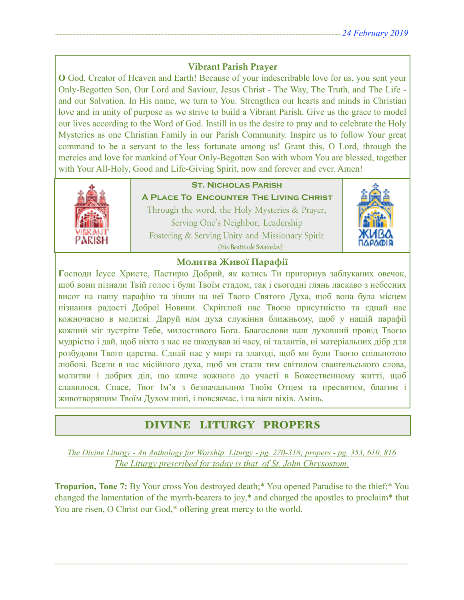## **Vibrant Parish Prayer**

**O** God, Creator of Heaven and Earth! Because of your indescribable love for us, you sent your Only-Begotten Son, Our Lord and Saviour, Jesus Christ - The Way, The Truth, and The Life and our Salvation. In His name, we turn to You. Strengthen our hearts and minds in Christian love and in unity of purpose as we strive to build a Vibrant Parish. Give us the grace to model our lives according to the Word of God. Instill in us the desire to pray and to celebrate the Holy Mysteries as one Christian Family in our Parish Community. Inspire us to follow Your great command to be a servant to the less fortunate among us! Grant this, O Lord, through the mercies and love for mankind of Your Only-Begotten Son with whom You are blessed, together with Your All-Holy, Good and Life-Giving Spirit, now and forever and ever. Amen!



## **St. Nicholas Parish**

**A Place To Encounter The Living Christ** Through the word, the Holy Mysteries & Prayer, Serving One's Neighbor, Leadership Fostering & Serving Unity and Missionary Spirit (His Beatitude Sviatoslav)



### **Молитва Живої Парафії**

**Г**осподи Ісусе Христе, Пастирю Добрий, як колись Ти пригорнув заблуканих овечок, щоб вони пізнали Твій голос і були Твоїм стадом, так і сьогодні глянь ласкаво з небесних висот на нашу парафію та зішли на неї Твого Святого Духа, щоб вона була місцем пізнання радості Доброї Новини. Скріплюй нас Твоєю присутністю та єднай нас кожночасно в молитві. Даруй нам духа служіння ближньому, щоб у нашій парафії кожний міг зустріти Тебе, милостивого Бога. Благослови наш духовний провід Твоєю мудрістю і дай, щоб ніхто з нас не шкодував ні часу, ні талантів, ні матеріальних дібр для розбудови Твого царства. Єднай нас у мирі та злагоді, щоб ми були Твоєю спільнотою любові. Всели в нас місійного духа, щоб ми стали тим світилом євангельського слова, молитви і добрих діл, що кличе кожного до участі в Божественному житті, щоб славилося, Спасе, Твоє Ім'я з безначальним Твоїм Отцем та пресвятим, благим і животворящим Твоїм Духом нині, і повсякчас, і на віки віків. Амінь.

## DIVINE LITURGY PROPERS

*The Divine Liturgy - An Anthology for Worship: Liturgy - pg. 270-318; propers - pg. 353, 610, 816 The Liturgy prescribed for today is that of St. John Chrysostom.* 

**Troparion, Tone 7:** By Your cross You destroyed death;\* You opened Paradise to the thief;\* You changed the lamentation of the myrrh-bearers to joy,\* and charged the apostles to proclaim\* that You are risen, O Christ our God,\* offering great mercy to the world.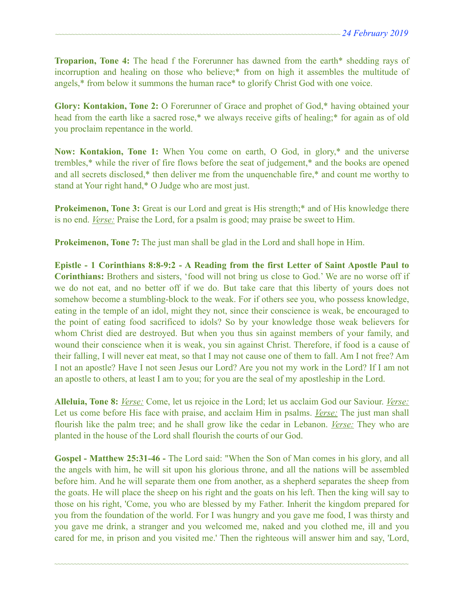**Troparion, Tone 4:** The head f the Forerunner has dawned from the earth\* shedding rays of incorruption and healing on those who believe;\* from on high it assembles the multitude of angels,\* from below it summons the human race\* to glorify Christ God with one voice.

**Glory: Kontakion, Tone 2:** O Forerunner of Grace and prophet of God,\* having obtained your head from the earth like a sacred rose,<sup>\*</sup> we always receive gifts of healing;<sup>\*</sup> for again as of old you proclaim repentance in the world.

**Now: Kontakion, Tone 1:** When You come on earth, O God, in glory,\* and the universe trembles,\* while the river of fire flows before the seat of judgement,\* and the books are opened and all secrets disclosed,\* then deliver me from the unquenchable fire,\* and count me worthy to stand at Your right hand,\* O Judge who are most just.

**Prokeimenon, Tone 3:** Great is our Lord and great is His strength;<sup>\*</sup> and of His knowledge there is no end. *Verse:* Praise the Lord, for a psalm is good; may praise be sweet to Him.

**Prokeimenon, Tone 7:** The just man shall be glad in the Lord and shall hope in Him.

**Epistle - 1 Corinthians 8:8-9:2 - A Reading from the first Letter of Saint Apostle Paul to Corinthians:** Brothers and sisters, 'food will not bring us close to God.' We are no worse off if we do not eat, and no better off if we do. But take care that this liberty of yours does not somehow become a stumbling-block to the weak. For if others see you, who possess knowledge, eating in the temple of an idol, might they not, since their conscience is weak, be encouraged to the point of eating food sacrificed to idols? So by your knowledge those weak believers for whom Christ died are destroyed. But when you thus sin against members of your family, and wound their conscience when it is weak, you sin against Christ. Therefore, if food is a cause of their falling, I will never eat meat, so that I may not cause one of them to fall. Am I not free? Am I not an apostle? Have I not seen Jesus our Lord? Are you not my work in the Lord? If I am not an apostle to others, at least I am to you; for you are the seal of my apostleship in the Lord.

**Alleluia, Tone 8:** *Verse:* Come, let us rejoice in the Lord; let us acclaim God our Saviour. *Verse:*  Let us come before His face with praise, and acclaim Him in psalms. *Verse:* The just man shall flourish like the palm tree; and he shall grow like the cedar in Lebanon. *Verse:* They who are planted in the house of the Lord shall flourish the courts of our God.

**Gospel - Matthew 25:31-46 -** The Lord said: "When the Son of Man comes in his glory, and all the angels with him, he will sit upon his glorious throne, and all the nations will be assembled before him. And he will separate them one from another, as a shepherd separates the sheep from the goats. He will place the sheep on his right and the goats on his left. Then the king will say to those on his right, 'Come, you who are blessed by my Father. Inherit the kingdom prepared for you from the foundation of the world. For I was hungry and you gave me food, I was thirsty and you gave me drink, a stranger and you welcomed me, naked and you clothed me, ill and you cared for me, in prison and you visited me.' Then the righteous will answer him and say, 'Lord,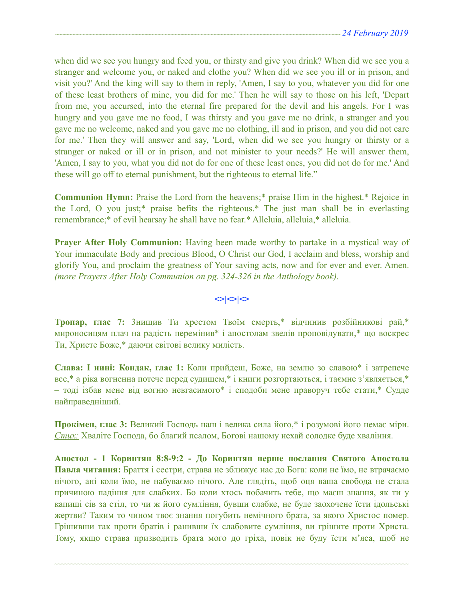when did we see you hungry and feed you, or thirsty and give you drink? When did we see you a stranger and welcome you, or naked and clothe you? When did we see you ill or in prison, and visit you?' And the king will say to them in reply, 'Amen, I say to you, whatever you did for one of these least brothers of mine, you did for me.' Then he will say to those on his left, 'Depart from me, you accursed, into the eternal fire prepared for the devil and his angels. For I was hungry and you gave me no food, I was thirsty and you gave me no drink, a stranger and you gave me no welcome, naked and you gave me no clothing, ill and in prison, and you did not care for me.' Then they will answer and say, 'Lord, when did we see you hungry or thirsty or a stranger or naked or ill or in prison, and not minister to your needs?' He will answer them, 'Amen, I say to you, what you did not do for one of these least ones, you did not do for me.' And these will go off to eternal punishment, but the righteous to eternal life."

**Communion Hymn:** Praise the Lord from the heavens;\* praise Him in the highest.\* Rejoice in the Lord, O you just;\* praise befits the righteous.\* The just man shall be in everlasting remembrance;\* of evil hearsay he shall have no fear.\* Alleluia, alleluia,\* alleluia.

**Prayer After Holy Communion:** Having been made worthy to partake in a mystical way of Your immaculate Body and precious Blood, O Christ our God, I acclaim and bless, worship and glorify You, and proclaim the greatness of Your saving acts, now and for ever and ever. Amen. *(more Prayers After Holy Communion on pg. 324-326 in the Anthology book).* 

### $\left| \diamond \right| \diamond \left| \diamond \right|$

**Тропар, глас 7:** 3нищив Ти хрестом Твоїм смерть,\* відчинив розбійникові рай,\* мироносицям плач на радість перемінив\* і апостолам звелів проповідувати,\* що воскрес Ти, Христе Боже,\* даючи світові велику милість.

**Слава: І нині: Кондак, глас 1:** Коли прийдеш, Боже, на землю зо славою\* і затрепече все,\* а ріка вогненна потече перед судищем,\* і книги розгортаються, і таємне з'являється,\* – тоді ізбав мене від вогню невгасимого\* і сподоби мене праворуч тебе стати,\* Судде найправедніший.

**Прокімен, глас 3:** Великий Господь наш і велика сила його,\* і розумові його немає міри. *Стих:* Хваліте Господа, бо благий псалом, Богові нашому нехай солодке буде хваління.

**Апостол - 1 Коринтян 8:8-9:2 - До Коринтян перше послання Святого Апостола Павла читання:** Браття і сестри, страва не зближує нас до Бога: коли не їмо, не втрачаємо нічого, ані коли їмо, не набуваємо нічого. Але глядіть, щоб оця ваша свобода не стала причиною падіння для слабких. Бо коли хтось побачить тебе, що маєш знання, як ти у капищі сів за стіл, то чи ж його сумління, бувши слабке, не буде заохочене їсти ідольські жертви? Таким то чином твоє знання погубить немічного брата, за якого Христос помер. Грішивши так проти братів і ранивши їх слабовите сумління, ви грішите проти Христа. Тому, якщо страва призводить брата мого до гріха, повік не буду їсти м'яса, щоб не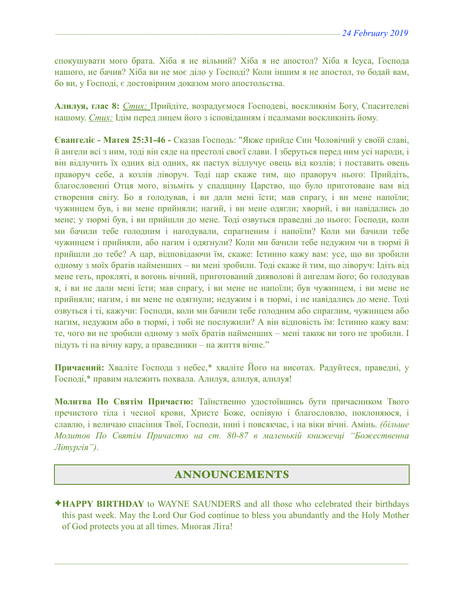спокушувати мого брата. Хіба я не вільний? Хіба я не апостол? Хіба я Ісуса, Господа нашого, не бачив? Хіба ви не моє діло у Господі? Коли іншим я не апостол, то бодай вам, бо ви, у Господі, є достовірним доказом мого апостольства.

**Алилуя, глас 8:** *Стих:* Прийдіте, возрадуємося Господеві, воскликнім Богу, Спасителеві нашому. *Стих:* Ідім перед лицем його з ісповіданням і псалмами воскликніть йому.

**Євангеліє - Матея 25:31-46 -** Сказав Господь: "Якже прийде Син Чоловічий у своїй славі, й ангели всі з ним, тоді він сяде на престолі своєї слави. І зберуться перед ним усі народи, і він відлучить їх одних від одних, як пастух відлучує овець від козлів; і поставить овець праворуч себе, а козлів ліворуч. Тоді цар скаже тим, що праворуч нього: Прийдіть, благословенні Отця мого, візьміть у спадщину Царство, що було приготоване вам від створення світу. Бо я голодував, і ви дали мені їсти; мав спрагу, і ви мене напоїли; чужинцем був, і ви мене прийняли; нагий, і ви мене одягли; хворий, і ви навідались до мене; у тюрмі був, і ви прийшли до мене. Тоді озвуться праведні до нього: Господи, коли ми бачили тебе голодним і нагодували, спрагненим і напоїли? Коли ми бачили тебе чужинцем і прийняли, або нагим і одягнули? Коли ми бачили тебе недужим чи в тюрмі й прийшли до тебе? А цар, відповідаючи їм, скаже: Істинно кажу вам: усе, що ви зробили одному з моїх братів найменших – ви мені зробили. Тоді скаже й тим, що ліворуч: Ідіть від мене геть, прокляті, в вогонь вічний, приготований дияволові й ангелам його; бо голодував я, і ви не дали мені їсти; мав спрагу, і ви мене не напоїли; був чужинцем, і ви мене не прийняли; нагим, і ви мене не одягнули; недужим і в тюрмі, і не навідались до мене. Тоді озвуться і ті, кажучи: Господи, коли ми бачили тебе голодним або спраглим, чужинцем або нагим, недужим або в тюрмі, і тобі не послужили? А він відповість їм: Істинно кажу вам: те, чого ви не зробили одному з моїх братів найменших – мені також ви того не зробили. І підуть ті на вічну кару, а праведники – на життя вічне."

**Причасний:** Хваліте Господа з небес,\* хваліте Його на висотах. Радуйтеся, праведні, у Господі,\* правим належить похвала. Алилуя, aлилуя, aлилуя!

**Молитва По Святім Причастю:** Таїнственно удостоївшись бути причасником Твого пречистого тіла і чесної крови, Христе Боже, оспівую і благословлю, поклоняюся, і славлю, і величаю спасіння Твої, Господи, нині і повсякчас, і на віки вічні. Амінь. *(більше Молитов По Святім Причастю на ст. 80-87 в маленькій книжечці "Божественна Літургія")*.

# ANNOUNCEMENTS

✦**HAPPY BIRTHDAY** to WAYNE SAUNDERS and all those who celebrated their birthdays this past week. May the Lord Our God continue to bless you abundantly and the Holy Mother of God protects you at all times. Многая Літа!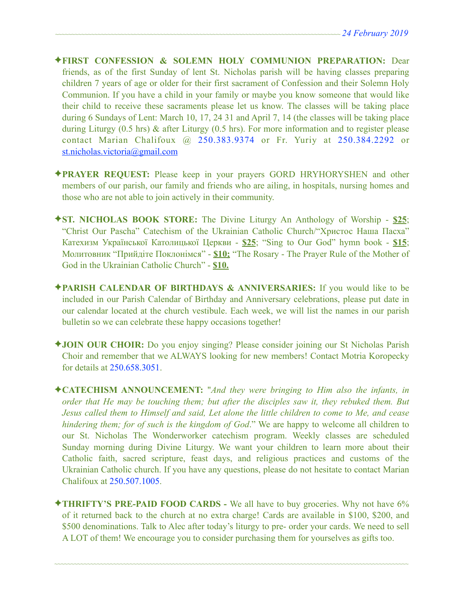- ✦**FIRST CONFESSION & SOLEMN HOLY COMMUNION PREPARATION:** Dear friends, as of the first Sunday of lent St. Nicholas parish will be having classes preparing children 7 years of age or older for their first sacrament of Confession and their Solemn Holy Communion. If you have a child in your family or maybe you know someone that would like their child to receive these sacraments please let us know. The classes will be taking place during 6 Sundays of Lent: March 10, 17, 24 31 and April 7, 14 (the classes will be taking place during Liturgy (0.5 hrs) & after Liturgy (0.5 hrs). For more information and to register please contact Marian Chalifoux @ 250.383.9374 or Fr. Yuriy at 250.384.2292 or [st.nicholas.victoria@gmail.com](mailto:st.nicholas.victoria@gmail.com)
- ✦**PRAYER REQUEST:** Please keep in your prayers GORD HRYHORYSHEN and other members of our parish, our family and friends who are ailing, in hospitals, nursing homes and those who are not able to join actively in their community.
- ✦**ST. NICHOLAS BOOK STORE:** The Divine Liturgy An Anthology of Worship **\$25**; "Christ Our Pascha" Catechism of the Ukrainian Catholic Church/"Христос Наша Пасха" Катехизм Української Католицької Церкви - **\$25**; "Sing to Our God" hymn book - **\$15**; Молитовник "Прийдіте Поклонімся" - **\$10;** "The Rosary - The Prayer Rule of the Mother of God in the Ukrainian Catholic Church" - **\$10.**
- ✦**PARISH CALENDAR OF BIRTHDAYS & ANNIVERSARIES:** If you would like to be included in our Parish Calendar of Birthday and Anniversary celebrations, please put date in our calendar located at the church vestibule. Each week, we will list the names in our parish bulletin so we can celebrate these happy occasions together!
- ✦**JOIN OUR CHOIR:** Do you enjoy singing? Please consider joining our St Nicholas Parish Choir and remember that we ALWAYS looking for new members! Contact Motria Koropecky for details at 250.658.3051.
- ✦**CATECHISM ANNOUNCEMENT:** "*And they were bringing to Him also the infants, in order that He may be touching them; but after the disciples saw it, they rebuked them. But Jesus called them to Himself and said, Let alone the little children to come to Me, and cease hindering them; for of such is the kingdom of God*." We are happy to welcome all children to our St. Nicholas The Wonderworker catechism program. Weekly classes are scheduled Sunday morning during Divine Liturgy. We want your children to learn more about their Catholic faith, sacred scripture, feast days, and religious practices and customs of the Ukrainian Catholic church. If you have any questions, please do not hesitate to contact Marian Chalifoux at 250.507.1005.
- ✦**THRIFTY'S PRE-PAID FOOD CARDS** We all have to buy groceries. Why not have 6% of it returned back to the church at no extra charge! Cards are available in \$100, \$200, and \$500 denominations. Talk to Alec after today's liturgy to pre- order your cards. We need to sell A LOT of them! We encourage you to consider purchasing them for yourselves as gifts too.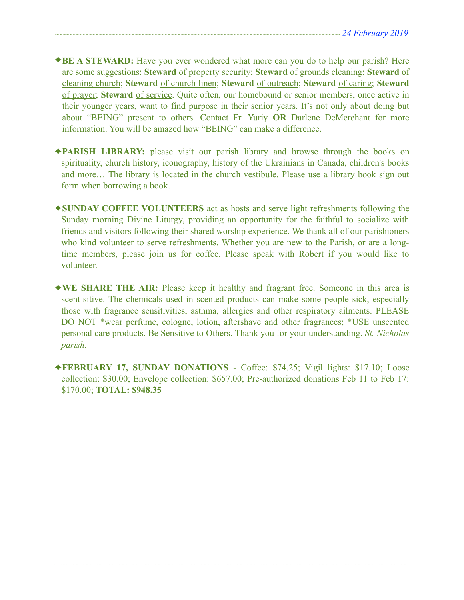- ✦**BE A STEWARD:** Have you ever wondered what more can you do to help our parish? Here are some suggestions: **Steward** of property security; **Steward** of grounds cleaning; **Steward** of cleaning church; **Steward** of church linen; **Steward** of outreach; **Steward** of caring; **Steward** of prayer; **Steward** of service. Quite often, our homebound or senior members, once active in their younger years, want to find purpose in their senior years. It's not only about doing but about "BEING" present to others. Contact Fr. Yuriy **OR** Darlene DeMerchant for more information. You will be amazed how "BEING" can make a difference.
- ✦**PARISH LIBRARY:** please visit our parish library and browse through the books on spirituality, church history, iconography, history of the Ukrainians in Canada, children's books and more… The library is located in the church vestibule. Please use a library book sign out form when borrowing a book.
- ✦**SUNDAY COFFEE VOLUNTEERS** act as hosts and serve light refreshments following the Sunday morning Divine Liturgy, providing an opportunity for the faithful to socialize with friends and visitors following their shared worship experience. We thank all of our parishioners who kind volunteer to serve refreshments. Whether you are new to the Parish, or are a longtime members, please join us for coffee. Please speak with Robert if you would like to volunteer.
- ✦**WE SHARE THE AIR:** Please keep it healthy and fragrant free. Someone in this area is scent-sitive. The chemicals used in scented products can make some people sick, especially those with fragrance sensitivities, asthma, allergies and other respiratory ailments. PLEASE DO NOT \*wear perfume, cologne, lotion, aftershave and other fragrances; \*USE unscented personal care products. Be Sensitive to Others. Thank you for your understanding. *St. Nicholas parish.*
- ✦**FEBRUARY 17, SUNDAY DONATIONS**  Coffee: \$74.25; Vigil lights: \$17.10; Loose collection: \$30.00; Envelope collection: \$657.00; Pre-authorized donations Feb 11 to Feb 17: \$170.00; **TOTAL: \$948.35**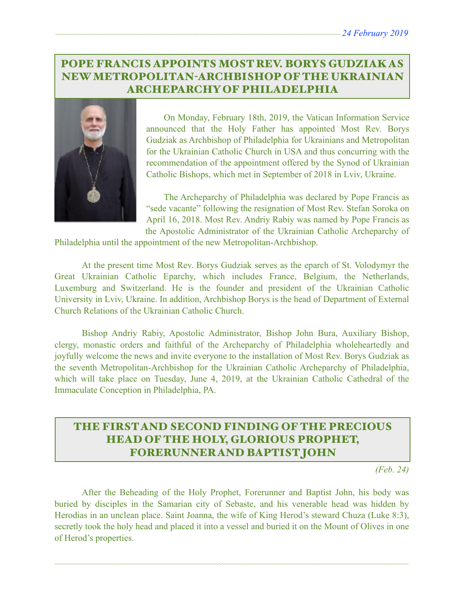# POPE FRANCIS APPOINTS MOST REV. BORYS GUDZIAK AS NEW METROPOLITAN-ARCHBISHOP OF THE UKRAINIAN ARCHEPARCHY OF PHILADELPHIA



On Monday, February 18th, 2019, the Vatican Information Service announced that the Holy Father has appointed Most Rev. Borys Gudziak as Archbishop of Philadelphia for Ukrainians and Metropolitan for the Ukrainian Catholic Church in USA and thus concurring with the recommendation of the appointment offered by the Synod of Ukrainian Catholic Bishops, which met in September of 2018 in Lviv, Ukraine.

 The Archeparchy of Philadelphia was declared by Pope Francis as "sede vacante" following the resignation of Most Rev. Stefan Soroka on April 16, 2018. Most Rev. Andriy Rabiy was named by Pope Francis as the Apostolic Administrator of the Ukrainian Catholic Archeparchy of

Philadelphia until the appointment of the new Metropolitan-Archbishop.

 At the present time Most Rev. Borys Gudziak serves as the eparch of St. Volodymyr the Great Ukrainian Catholic Eparchy, which includes France, Belgium, the Netherlands, Luxemburg and Switzerland. He is the founder and president of the Ukrainian Catholic University in Lviv, Ukraine. In addition, Archbishop Borys is the head of Department of External Church Relations of the Ukrainian Catholic Church.

 Bishop Andriy Rabiy, Apostolic Administrator, Bishop John Bura, Auxiliary Bishop, clergy, monastic orders and faithful of the Archeparchy of Philadelphia wholeheartedly and joyfully welcome the news and invite everyone to the installation of Most Rev. Borys Gudziak as the seventh Metropolitan-Archbishop for the Ukrainian Catholic Archeparchy of Philadelphia, which will take place on Tuesday, June 4, 2019, at the Ukrainian Catholic Cathedral of the Immaculate Conception in Philadelphia, PA.

# THE FIRST AND SECOND FINDING OF THE PRECIOUS HEAD OF THE HOLY, GLORIOUS PROPHET, FORERUNNER AND BAPTIST JOHN

*(Feb. 24)* 

 After the Beheading of the Holy Prophet, Forerunner and Baptist John, his body was buried by disciples in the Samarian city of Sebaste, and his venerable head was hidden by Herodias in an unclean place. Saint Joanna, the wife of King Herod's steward Chuza (Luke 8:3), secretly took the holy head and placed it into a vessel and buried it on the Mount of Olives in one of Herod's properties.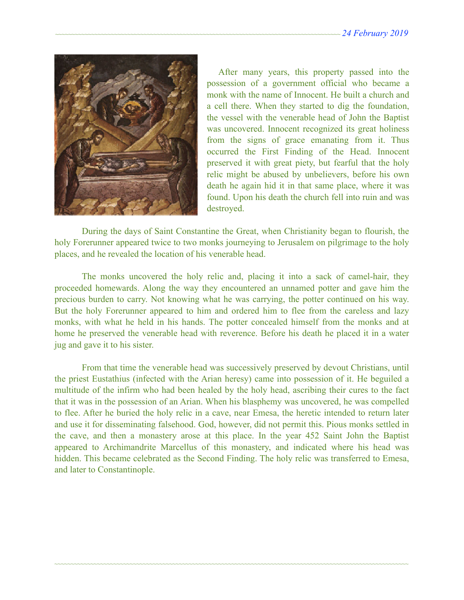

After many years, this property passed into the possession of a government official who became a monk with the name of Innocent. He built a church and a cell there. When they started to dig the foundation, the vessel with the venerable head of John the Baptist was uncovered. Innocent recognized its great holiness from the signs of grace emanating from it. Thus occurred the First Finding of the Head. Innocent preserved it with great piety, but fearful that the holy relic might be abused by unbelievers, before his own death he again hid it in that same place, where it was found. Upon his death the church fell into ruin and was destroyed.

During the days of Saint Constantine the Great, when Christianity began to flourish, the holy Forerunner appeared twice to two monks journeying to Jerusalem on pilgrimage to the holy places, and he revealed the location of his venerable head.

The monks uncovered the holy relic and, placing it into a sack of camel-hair, they proceeded homewards. Along the way they encountered an unnamed potter and gave him the precious burden to carry. Not knowing what he was carrying, the potter continued on his way. But the holy Forerunner appeared to him and ordered him to flee from the careless and lazy monks, with what he held in his hands. The potter concealed himself from the monks and at home he preserved the venerable head with reverence. Before his death he placed it in a water jug and gave it to his sister.

From that time the venerable head was successively preserved by devout Christians, until the priest Eustathius (infected with the Arian heresy) came into possession of it. He beguiled a multitude of the infirm who had been healed by the holy head, ascribing their cures to the fact that it was in the possession of an Arian. When his blasphemy was uncovered, he was compelled to flee. After he buried the holy relic in a cave, near Emesa, the heretic intended to return later and use it for disseminating falsehood. God, however, did not permit this. Pious monks settled in the cave, and then a monastery arose at this place. In the year 452 Saint John the Baptist appeared to Archimandrite Marcellus of this monastery, and indicated where his head was hidden. This became celebrated as the Second Finding. The holy relic was transferred to Emesa, and later to Constantinople.